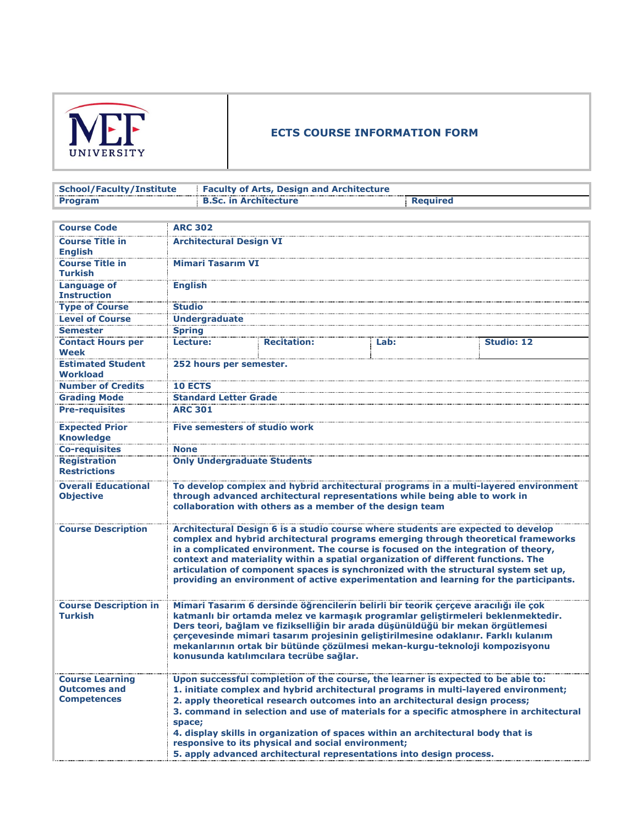

## **ECTS COURSE INFORMATION FORM**

| School/Faculty/Institute | <b>Example 2 Faculty of Arts, Design and Architecture</b> |                 |
|--------------------------|-----------------------------------------------------------|-----------------|
| Program                  | <b>B.Sc. in Architecture</b>                              | <b>Required</b> |

| <b>Course Code</b>                                                  | <b>ARC 302</b>                       |                                                    |                                                                      |                                                                                                                                                                                                                                                                                                                                                                                                                                                                                                                                 |
|---------------------------------------------------------------------|--------------------------------------|----------------------------------------------------|----------------------------------------------------------------------|---------------------------------------------------------------------------------------------------------------------------------------------------------------------------------------------------------------------------------------------------------------------------------------------------------------------------------------------------------------------------------------------------------------------------------------------------------------------------------------------------------------------------------|
| <b>Course Title in</b><br><b>English</b>                            | <b>Architectural Design VI</b>       |                                                    |                                                                      |                                                                                                                                                                                                                                                                                                                                                                                                                                                                                                                                 |
| <b>Course Title in</b>                                              | <b>Mimari Tasarım VI</b>             |                                                    |                                                                      |                                                                                                                                                                                                                                                                                                                                                                                                                                                                                                                                 |
| <b>Turkish</b>                                                      |                                      |                                                    |                                                                      |                                                                                                                                                                                                                                                                                                                                                                                                                                                                                                                                 |
| <b>Language of</b>                                                  | <b>English</b>                       |                                                    |                                                                      |                                                                                                                                                                                                                                                                                                                                                                                                                                                                                                                                 |
| <b>Instruction</b>                                                  |                                      |                                                    |                                                                      |                                                                                                                                                                                                                                                                                                                                                                                                                                                                                                                                 |
| <b>Type of Course</b>                                               | <b>Studio</b>                        |                                                    |                                                                      |                                                                                                                                                                                                                                                                                                                                                                                                                                                                                                                                 |
| <b>Level of Course</b>                                              | <b>Undergraduate</b>                 |                                                    |                                                                      |                                                                                                                                                                                                                                                                                                                                                                                                                                                                                                                                 |
| <b>Semester</b>                                                     | <b>Spring</b>                        |                                                    |                                                                      |                                                                                                                                                                                                                                                                                                                                                                                                                                                                                                                                 |
| <b>Contact Hours per</b>                                            | Lecture:                             | <b>Recitation:</b>                                 | Lab:                                                                 | <b>Studio: 12</b>                                                                                                                                                                                                                                                                                                                                                                                                                                                                                                               |
| Week                                                                |                                      |                                                    |                                                                      |                                                                                                                                                                                                                                                                                                                                                                                                                                                                                                                                 |
| <b>Estimated Student</b>                                            | 252 hours per semester.              |                                                    |                                                                      |                                                                                                                                                                                                                                                                                                                                                                                                                                                                                                                                 |
| Workload<br><b>Number of Credits</b>                                |                                      |                                                    |                                                                      |                                                                                                                                                                                                                                                                                                                                                                                                                                                                                                                                 |
|                                                                     | <b>10 ECTS</b>                       |                                                    |                                                                      |                                                                                                                                                                                                                                                                                                                                                                                                                                                                                                                                 |
| <b>Grading Mode</b>                                                 | <b>Standard Letter Grade</b>         |                                                    |                                                                      |                                                                                                                                                                                                                                                                                                                                                                                                                                                                                                                                 |
| <b>Pre-requisites</b>                                               | <b>ARC 301</b>                       |                                                    |                                                                      |                                                                                                                                                                                                                                                                                                                                                                                                                                                                                                                                 |
| <b>Expected Prior</b>                                               | <b>Five semesters of studio work</b> |                                                    |                                                                      |                                                                                                                                                                                                                                                                                                                                                                                                                                                                                                                                 |
| <b>Knowledge</b>                                                    |                                      |                                                    |                                                                      |                                                                                                                                                                                                                                                                                                                                                                                                                                                                                                                                 |
| <b>Co-requisites</b>                                                | <b>None</b>                          |                                                    |                                                                      |                                                                                                                                                                                                                                                                                                                                                                                                                                                                                                                                 |
| <b>Registration</b><br><b>Restrictions</b>                          | <b>Only Undergraduate Students</b>   |                                                    |                                                                      |                                                                                                                                                                                                                                                                                                                                                                                                                                                                                                                                 |
| <b>Overall Educational</b><br><b>Objective</b>                      |                                      |                                                    | collaboration with others as a member of the design team             | To develop complex and hybrid architectural programs in a multi-layered environment<br>through advanced architectural representations while being able to work in                                                                                                                                                                                                                                                                                                                                                               |
| <b>Course Description</b>                                           |                                      |                                                    |                                                                      | Architectural Design 6 is a studio course where students are expected to develop<br>complex and hybrid architectural programs emerging through theoretical frameworks<br>in a complicated environment. The course is focused on the integration of theory,<br>context and materiality within a spatial organization of different functions. The<br>articulation of component spaces is synchronized with the structural system set up,<br>providing an environment of active experimentation and learning for the participants. |
| <b>Course Description in</b><br><b>Turkish</b>                      |                                      | konusunda katılımcılara tecrübe sağlar.            |                                                                      | Mimari Tasarım 6 dersinde öğrencilerin belirli bir teorik çerçeve aracılığı ile çok<br>katmanlı bir ortamda melez ve karmaşık programlar geliştirmeleri beklenmektedir.<br>Ders teori, bağlam ve fizikselliğin bir arada düşünüldüğü bir mekan örgütlemesi<br>cercevesinde mimari tasarım projesinin geliştirilmesine odaklanır. Farklı kulanım<br>mekanlarının ortak bir bütünde çözülmesi mekan-kurgu-teknoloji kompozisyonu                                                                                                  |
| <b>Course Learning</b><br><b>Outcomes and</b><br><b>Competences</b> | space;                               | responsive to its physical and social environment; | 5. apply advanced architectural representations into design process. | Upon successful completion of the course, the learner is expected to be able to:<br>1. initiate complex and hybrid architectural programs in multi-layered environment;<br>2. apply theoretical research outcomes into an architectural design process;<br>3. command in selection and use of materials for a specific atmosphere in architectural<br>4. display skills in organization of spaces within an architectural body that is                                                                                          |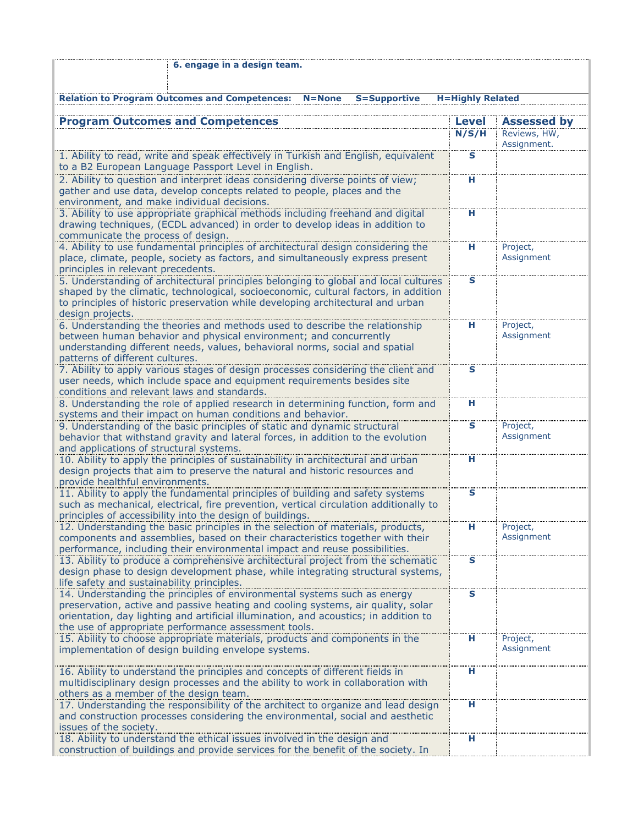| 6. engage in a design team.                                                                                                                                                                                                                                                                                  |                         |                                                   |
|--------------------------------------------------------------------------------------------------------------------------------------------------------------------------------------------------------------------------------------------------------------------------------------------------------------|-------------------------|---------------------------------------------------|
| <b>Relation to Program Outcomes and Competences:</b><br><b>S=Supportive</b><br>$N = None$                                                                                                                                                                                                                    | <b>H=Highly Related</b> |                                                   |
|                                                                                                                                                                                                                                                                                                              |                         |                                                   |
| <b>Program Outcomes and Competences</b>                                                                                                                                                                                                                                                                      | Level<br>N/S/H          | <b>Assessed by</b><br>Reviews, HW,<br>Assignment. |
| 1. Ability to read, write and speak effectively in Turkish and English, equivalent<br>to a B2 European Language Passport Level in English.                                                                                                                                                                   | $\mathbf s$             |                                                   |
| 2. Ability to question and interpret ideas considering diverse points of view;<br>gather and use data, develop concepts related to people, places and the<br>environment, and make individual decisions.                                                                                                     | н                       |                                                   |
| 3. Ability to use appropriate graphical methods including freehand and digital<br>drawing techniques, (ECDL advanced) in order to develop ideas in addition to<br>communicate the process of design.                                                                                                         | н                       |                                                   |
| 4. Ability to use fundamental principles of architectural design considering the<br>place, climate, people, society as factors, and simultaneously express present<br>principles in relevant precedents.                                                                                                     | н                       | Project,<br>Assignment                            |
| 5. Understanding of architectural principles belonging to global and local cultures<br>shaped by the climatic, technological, socioeconomic, cultural factors, in addition<br>to principles of historic preservation while developing architectural and urban<br>design projects.                            | S                       |                                                   |
| 6. Understanding the theories and methods used to describe the relationship<br>between human behavior and physical environment; and concurrently<br>understanding different needs, values, behavioral norms, social and spatial<br>patterns of different cultures.                                           | н                       | Project,<br>Assignment                            |
| 7. Ability to apply various stages of design processes considering the client and<br>user needs, which include space and equipment requirements besides site<br>conditions and relevant laws and standards.                                                                                                  | $\mathbf{s}$            |                                                   |
| 8. Understanding the role of applied research in determining function, form and<br>systems and their impact on human conditions and behavior.                                                                                                                                                                | н                       |                                                   |
| 9. Understanding of the basic principles of static and dynamic structural<br>behavior that withstand gravity and lateral forces, in addition to the evolution<br>and applications of structural systems.                                                                                                     | S                       | Project,<br>Assignment                            |
| 10. Ability to apply the principles of sustainability in architectural and urban<br>design projects that aim to preserve the natural and historic resources and<br>provide healthful environments.                                                                                                           | H                       |                                                   |
| 11. Ability to apply the fundamental principles of building and safety systems<br>such as mechanical, electrical, fire prevention, vertical circulation additionally to<br>principles of accessibility into the design of buildings.                                                                         | $\mathbf{s}$            |                                                   |
| 12. Understanding the basic principles in the selection of materials, products,<br>components and assemblies, based on their characteristics together with their<br>performance, including their environmental impact and reuse possibilities.                                                               | н                       | Project,<br>Assignment                            |
| 13. Ability to produce a comprehensive architectural project from the schematic<br>design phase to design development phase, while integrating structural systems,<br>life safety and sustainability principles.                                                                                             | $\mathbf s$             |                                                   |
| 14. Understanding the principles of environmental systems such as energy<br>preservation, active and passive heating and cooling systems, air quality, solar<br>orientation, day lighting and artificial illumination, and acoustics; in addition to<br>the use of appropriate performance assessment tools. | S                       |                                                   |
| 15. Ability to choose appropriate materials, products and components in the<br>implementation of design building envelope systems.                                                                                                                                                                           | н                       | Project,<br>Assignment                            |
| 16. Ability to understand the principles and concepts of different fields in<br>multidisciplinary design processes and the ability to work in collaboration with<br>others as a member of the design team.                                                                                                   | н                       |                                                   |
| 17. Understanding the responsibility of the architect to organize and lead design<br>and construction processes considering the environmental, social and aesthetic<br>issues of the society.                                                                                                                | н                       |                                                   |
| 18. Ability to understand the ethical issues involved in the design and<br>construction of buildings and provide services for the benefit of the society. In                                                                                                                                                 | н                       |                                                   |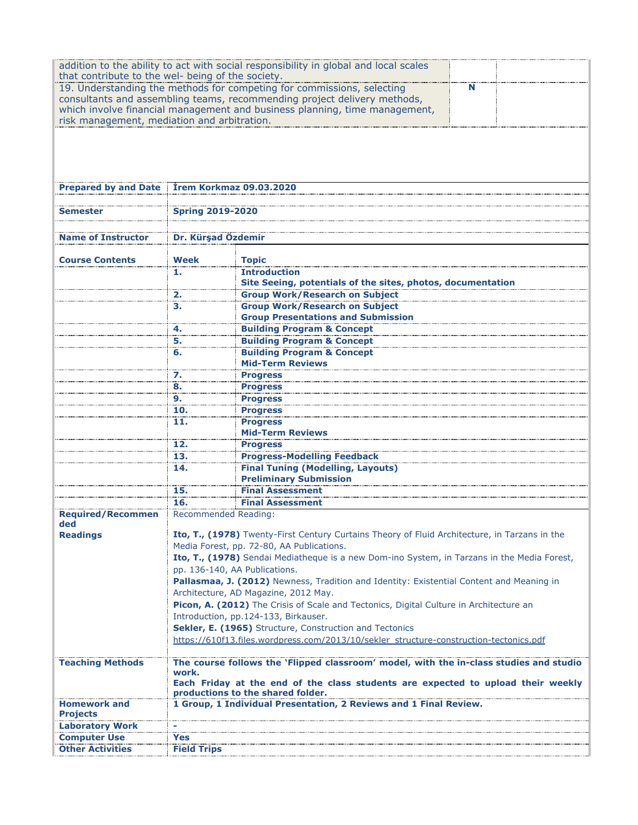|                                                   |                             | addition to the ability to act with social responsibility in global and local scales          |   |  |
|---------------------------------------------------|-----------------------------|-----------------------------------------------------------------------------------------------|---|--|
| that contribute to the wel- being of the society. |                             | 19. Understanding the methods for competing for commissions, selecting                        | N |  |
|                                                   |                             | consultants and assembling teams, recommending project delivery methods,                      |   |  |
|                                                   |                             | which involve financial management and business planning, time management,                    |   |  |
| risk management, mediation and arbitration.       |                             |                                                                                               |   |  |
|                                                   |                             |                                                                                               |   |  |
|                                                   |                             |                                                                                               |   |  |
|                                                   |                             |                                                                                               |   |  |
|                                                   |                             |                                                                                               |   |  |
| <b>Prepared by and Date</b>                       |                             | <b>Trem Korkmaz 09.03.2020</b>                                                                |   |  |
|                                                   |                             |                                                                                               |   |  |
| Semester                                          | <b>Spring 2019-2020</b>     |                                                                                               |   |  |
|                                                   |                             |                                                                                               |   |  |
| <b>Name of Instructor</b>                         | Dr. Kürşad Özdemir          |                                                                                               |   |  |
|                                                   | <b>Week</b>                 |                                                                                               |   |  |
| <b>Course Contents</b>                            | 1.                          | <b>Topic</b><br><b>Introduction</b>                                                           |   |  |
|                                                   |                             | Site Seeing, potentials of the sites, photos, documentation                                   |   |  |
|                                                   | 2.                          | <b>Group Work/Research on Subject</b>                                                         |   |  |
|                                                   | з.                          | <b>Group Work/Research on Subject</b>                                                         |   |  |
|                                                   |                             | <b>Group Presentations and Submission</b>                                                     |   |  |
|                                                   | 4.                          | <b>Building Program &amp; Concept</b>                                                         |   |  |
|                                                   | 5.                          | <b>Building Program &amp; Concept</b>                                                         |   |  |
|                                                   | 6.                          | <b>Building Program &amp; Concept</b>                                                         |   |  |
|                                                   |                             | <b>Mid-Term Reviews</b>                                                                       |   |  |
|                                                   | 7.                          | <b>Progress</b>                                                                               |   |  |
|                                                   | 8.                          | <b>Progress</b>                                                                               |   |  |
|                                                   | 9.                          | <b>Progress</b>                                                                               |   |  |
|                                                   | 10.                         | <b>Progress</b>                                                                               |   |  |
|                                                   | 11.                         | <b>Progress</b>                                                                               |   |  |
|                                                   |                             | <b>Mid-Term Reviews</b>                                                                       |   |  |
|                                                   | 12.                         | <b>Progress</b>                                                                               |   |  |
|                                                   | 13.                         | <b>Progress-Modelling Feedback</b>                                                            |   |  |
|                                                   | 14.                         | <b>Final Tuning (Modelling, Layouts)</b>                                                      |   |  |
|                                                   |                             | <b>Preliminary Submission</b>                                                                 |   |  |
|                                                   | 15.<br>16.                  | <b>Final Assessment</b>                                                                       |   |  |
| <b>Required/Recommen</b>                          | <b>Recommended Reading:</b> | <b>Final Assessment</b>                                                                       |   |  |
| ded                                               |                             |                                                                                               |   |  |
| <b>Readings</b>                                   |                             | Ito, T., (1978) Twenty-First Century Curtains Theory of Fluid Architecture, in Tarzans in the |   |  |
|                                                   |                             | Media Forest, pp. 72-80, AA Publications.                                                     |   |  |
|                                                   |                             | Ito, T., (1978) Sendai Mediatheque is a new Dom-ino System, in Tarzans in the Media Forest,   |   |  |
|                                                   |                             | pp. 136-140, AA Publications.                                                                 |   |  |
|                                                   |                             | Pallasmaa, J. (2012) Newness, Tradition and Identity: Existential Content and Meaning in      |   |  |
|                                                   |                             | Architecture, AD Magazine, 2012 May.                                                          |   |  |
|                                                   |                             | Picon, A. (2012) The Crisis of Scale and Tectonics, Digital Culture in Architecture an        |   |  |
|                                                   |                             | Introduction, pp.124-133, Birkauser.                                                          |   |  |
|                                                   |                             | Sekler, E. (1965) Structure, Construction and Tectonics                                       |   |  |
|                                                   |                             | https://610f13.files.wordpress.com/2013/10/sekler_structure-construction-tectonics.pdf        |   |  |
|                                                   |                             |                                                                                               |   |  |
| <b>Teaching Methods</b>                           | work.                       | The course follows the 'Flipped classroom' model, with the in-class studies and studio        |   |  |
|                                                   |                             | Each Friday at the end of the class students are expected to upload their weekly              |   |  |
|                                                   |                             | productions to the shared folder.                                                             |   |  |
| <b>Homework and</b>                               |                             | 1 Group, 1 Individual Presentation, 2 Reviews and 1 Final Review.                             |   |  |
| <b>Projects</b>                                   |                             |                                                                                               |   |  |
| <b>Laboratory Work</b>                            |                             |                                                                                               |   |  |
| <b>Computer Use</b>                               | Yes                         |                                                                                               |   |  |
| <b>Other Activities</b>                           | <b>Field Trips</b>          |                                                                                               |   |  |